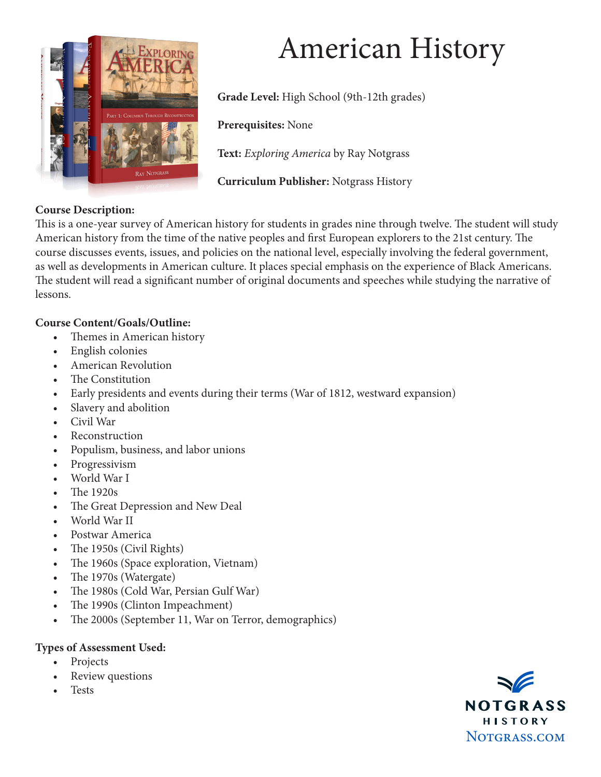

# American History

**Grade Level:** High School (9th-12th grades)

**Prerequisites:** None

**Text:** *Exploring America* by Ray Notgrass

**Curriculum Publisher:** Notgrass History

#### **Course Description:**

This is a one-year survey of American history for students in grades nine through twelve. The student will study American history from the time of the native peoples and first European explorers to the 21st century. The course discusses events, issues, and policies on the national level, especially involving the federal government, as well as developments in American culture. It places special emphasis on the experience of Black Americans. The student will read a significant number of original documents and speeches while studying the narrative of lessons.

#### **Course Content/Goals/Outline:**

- Themes in American history
- English colonies
- American Revolution
- The Constitution
- Early presidents and events during their terms (War of 1812, westward expansion)
- Slavery and abolition
- Civil War
- **Reconstruction**
- Populism, business, and labor unions
- Progressivism
- World War I
- The 1920s
- The Great Depression and New Deal
- World War II
- Postwar America
- The 1950s (Civil Rights)
- The 1960s (Space exploration, Vietnam)
- The 1970s (Watergate)
- The 1980s (Cold War, Persian Gulf War)
- The 1990s (Clinton Impeachment)
- The 2000s (September 11, War on Terror, demographics)

#### **Types of Assessment Used:**

- Projects
- Review questions
- **Tests**

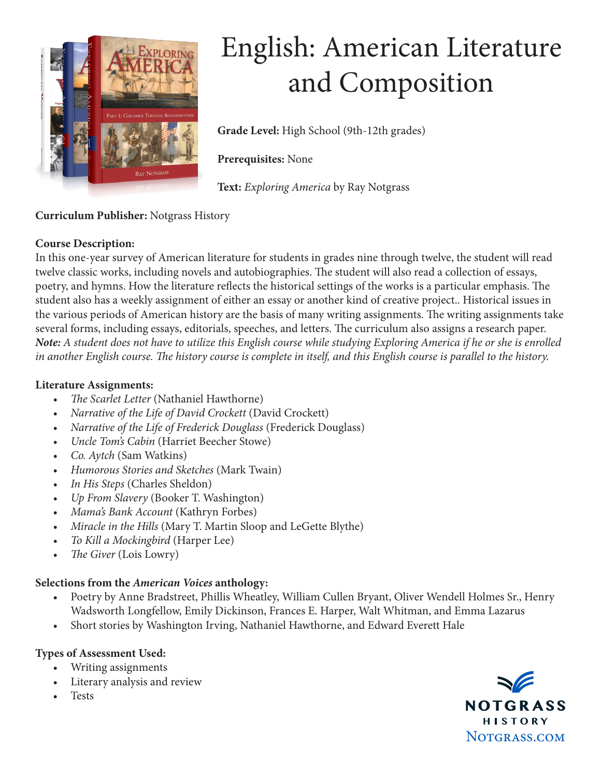

## English: American Literature and Composition

**Grade Level:** High School (9th-12th grades)

**Prerequisites:** None

**Text:** *Exploring America* by Ray Notgrass

### **Curriculum Publisher:** Notgrass History

#### **Course Description:**

In this one-year survey of American literature for students in grades nine through twelve, the student will read twelve classic works, including novels and autobiographies. The student will also read a collection of essays, poetry, and hymns. How the literature reflects the historical settings of the works is a particular emphasis. The student also has a weekly assignment of either an essay or another kind of creative project.. Historical issues in the various periods of American history are the basis of many writing assignments. The writing assignments take several forms, including essays, editorials, speeches, and letters. The curriculum also assigns a research paper. *Note: A student does not have to utilize this English course while studying Exploring America if he or she is enrolled in another English course. The history course is complete in itself, and this English course is parallel to the history.*

#### **Literature Assignments:**

- *• The Scarlet Letter* (Nathaniel Hawthorne)
- *• Narrative of the Life of David Crockett* (David Crockett)
- *• Narrative of the Life of Frederick Douglass* (Frederick Douglass)
- *• Uncle Tom's Cabin* (Harriet Beecher Stowe)
- *• Co. Aytch* (Sam Watkins)
- *• Humorous Stories and Sketches* (Mark Twain)
- *• In His Steps* (Charles Sheldon)
- *• Up From Slavery* (Booker T. Washington)
- *• Mama's Bank Account* (Kathryn Forbes)
- *• Miracle in the Hills* (Mary T. Martin Sloop and LeGette Blythe)
- *• To Kill a Mockingbird* (Harper Lee)
- *• The Giver* (Lois Lowry)

### **Selections from the** *American Voices* **anthology:**

- Poetry by Anne Bradstreet, Phillis Wheatley, William Cullen Bryant, Oliver Wendell Holmes Sr., Henry Wadsworth Longfellow, Emily Dickinson, Frances E. Harper, Walt Whitman, and Emma Lazarus
- Short stories by Washington Irving, Nathaniel Hawthorne, and Edward Everett Hale

### **Types of Assessment Used:**

- Writing assignments
- Literary analysis and review
- Tests